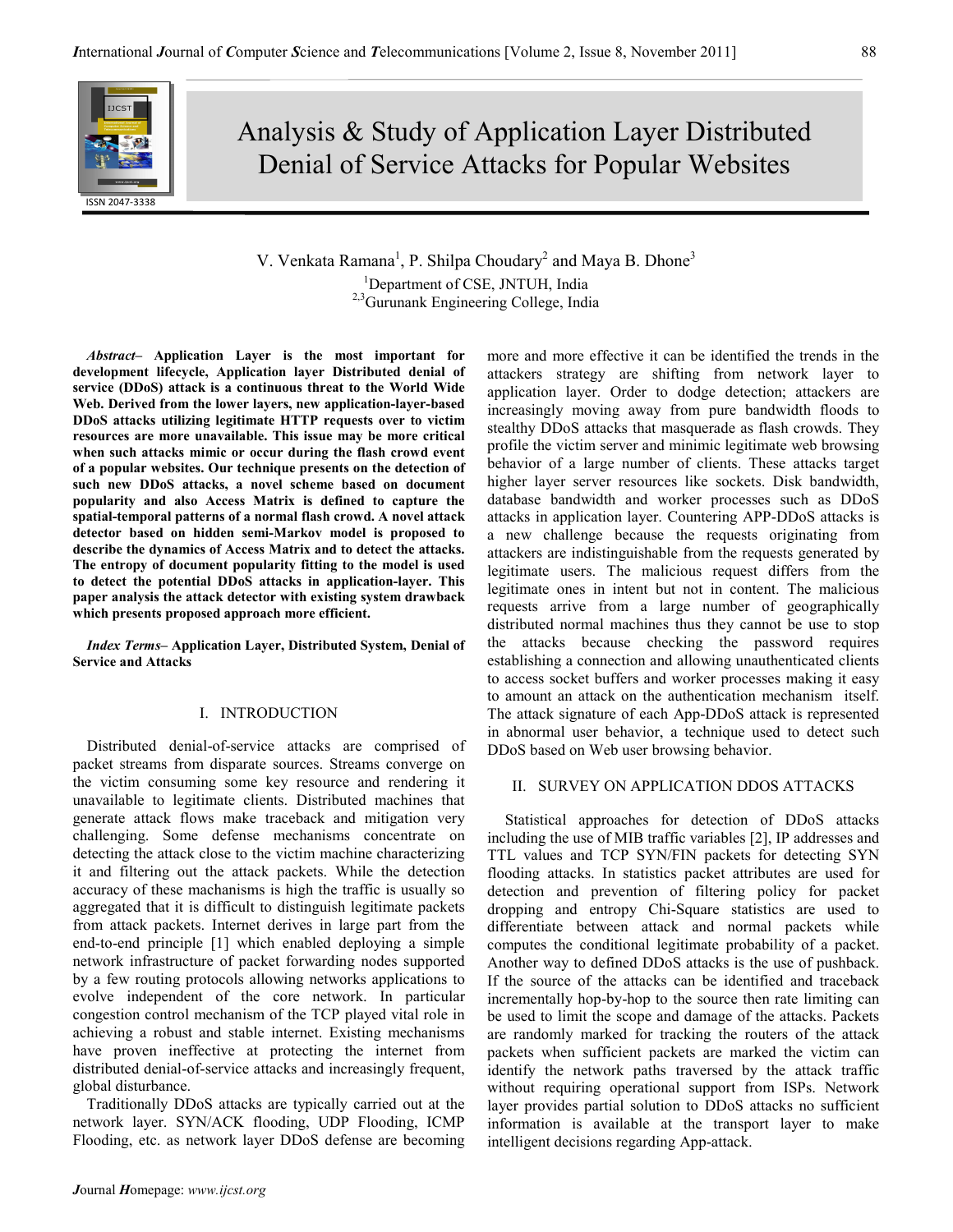# Analysis & Study of Application Layer Distributed Denial of Service Attacks for Popular Websites

# V. Venkata Ramana<sup>1</sup>, P. Shilpa Choudary<sup>2</sup> and Maya B. Dhone<sup>3</sup> <sup>1</sup>Department of CSE, JNTUH, India <sup>2,3</sup>Gurunank Engineering College, India

Abstract– Application Layer is the most important for development lifecycle, Application layer Distributed denial of service (DDoS) attack is a continuous threat to the World Wide Web. Derived from the lower layers, new application-layer-based DDoS attacks utilizing legitimate HTTP requests over to victim resources are more unavailable. This issue may be more critical when such attacks mimic or occur during the flash crowd event of a popular websites. Our technique presents on the detection of such new DDoS attacks, a novel scheme based on document popularity and also Access Matrix is defined to capture the spatial-temporal patterns of a normal flash crowd. A novel attack detector based on hidden semi-Markov model is proposed to describe the dynamics of Access Matrix and to detect the attacks. The entropy of document popularity fitting to the model is used to detect the potential DDoS attacks in application-layer. This paper analysis the attack detector with existing system drawback which presents proposed approach more efficient.

Index Terms– Application Layer, Distributed System, Denial of Service and Attacks

## I. INTRODUCTION

Distributed denial-of-service attacks are comprised of packet streams from disparate sources. Streams converge on the victim consuming some key resource and rendering it unavailable to legitimate clients. Distributed machines that generate attack flows make traceback and mitigation very challenging. Some defense mechanisms concentrate on detecting the attack close to the victim machine characterizing it and filtering out the attack packets. While the detection accuracy of these machanisms is high the traffic is usually so aggregated that it is difficult to distinguish legitimate packets from attack packets. Internet derives in large part from the end-to-end principle [1] which enabled deploying a simple network infrastructure of packet forwarding nodes supported by a few routing protocols allowing networks applications to evolve independent of the core network. In particular congestion control mechanism of the TCP played vital role in achieving a robust and stable internet. Existing mechanisms have proven ineffective at protecting the internet from distributed denial-of-service attacks and increasingly frequent, global disturbance.

Traditionally DDoS attacks are typically carried out at the network layer. SYN/ACK flooding, UDP Flooding, ICMP Flooding, etc. as network layer DDoS defense are becoming attackers strategy are shifting from network layer to application layer. Order to dodge detection; attackers are increasingly moving away from pure bandwidth floods to stealthy DDoS attacks that masquerade as flash crowds. They profile the victim server and minimic legitimate web browsing behavior of a large number of clients. These attacks target higher layer server resources like sockets. Disk bandwidth, database bandwidth and worker processes such as DDoS attacks in application layer. Countering APP-DDoS attacks is a new challenge because the requests originating from attackers are indistinguishable from the requests generated by legitimate users. The malicious request differs from the legitimate ones in intent but not in content. The malicious requests arrive from a large number of geographically distributed normal machines thus they cannot be use to stop the attacks because checking the password requires establishing a connection and allowing unauthenticated clients to access socket buffers and worker processes making it easy to amount an attack on the authentication mechanism itself. The attack signature of each App-DDoS attack is represented in abnormal user behavior, a technique used to detect such DDoS based on Web user browsing behavior.

more and more effective it can be identified the trends in the

### II. SURVEY ON APPLICATION DDOS ATTACKS

 Statistical approaches for detection of DDoS attacks including the use of MIB traffic variables [2], IP addresses and TTL values and TCP SYN/FIN packets for detecting SYN flooding attacks. In statistics packet attributes are used for detection and prevention of filtering policy for packet dropping and entropy Chi-Square statistics are used to differentiate between attack and normal packets while computes the conditional legitimate probability of a packet. Another way to defined DDoS attacks is the use of pushback. If the source of the attacks can be identified and traceback incrementally hop-by-hop to the source then rate limiting can be used to limit the scope and damage of the attacks. Packets are randomly marked for tracking the routers of the attack packets when sufficient packets are marked the victim can identify the network paths traversed by the attack traffic without requiring operational support from ISPs. Network layer provides partial solution to DDoS attacks no sufficient information is available at the transport layer to make intelligent decisions regarding App-attack.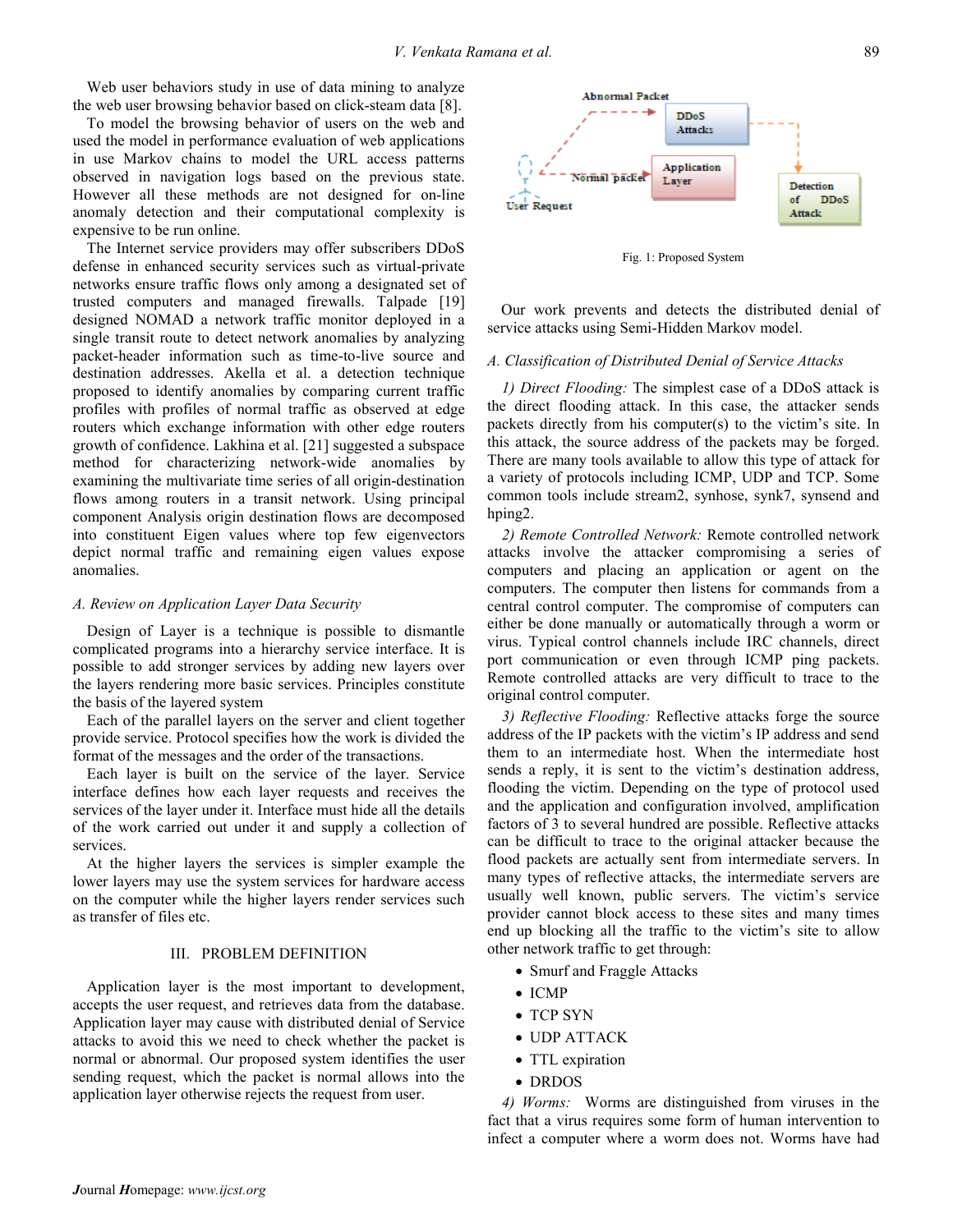Web user behaviors study in use of data mining to analyze the web user browsing behavior based on click-steam data [8].

To model the browsing behavior of users on the web and used the model in performance evaluation of web applications in use Markov chains to model the URL access patterns observed in navigation logs based on the previous state. However all these methods are not designed for on-line anomaly detection and their computational complexity is expensive to be run online.

The Internet service providers may offer subscribers DDoS defense in enhanced security services such as virtual-private networks ensure traffic flows only among a designated set of trusted computers and managed firewalls. Talpade [19] designed NOMAD a network traffic monitor deployed in a single transit route to detect network anomalies by analyzing packet-header information such as time-to-live source and destination addresses. Akella et al. a detection technique proposed to identify anomalies by comparing current traffic profiles with profiles of normal traffic as observed at edge routers which exchange information with other edge routers growth of confidence. Lakhina et al. [21] suggested a subspace method for characterizing network-wide anomalies by examining the multivariate time series of all origin-destination flows among routers in a transit network. Using principal component Analysis origin destination flows are decomposed into constituent Eigen values where top few eigenvectors depict normal traffic and remaining eigen values expose anomalies.

#### A. Review on Application Layer Data Security

Design of Layer is a technique is possible to dismantle complicated programs into a hierarchy service interface. It is possible to add stronger services by adding new layers over the layers rendering more basic services. Principles constitute the basis of the layered system

Each of the parallel layers on the server and client together provide service. Protocol specifies how the work is divided the format of the messages and the order of the transactions.

Each layer is built on the service of the layer. Service interface defines how each layer requests and receives the services of the layer under it. Interface must hide all the details of the work carried out under it and supply a collection of services.

At the higher layers the services is simpler example the lower layers may use the system services for hardware access on the computer while the higher layers render services such as transfer of files etc.

#### III. PROBLEM DEFINITION

Application layer is the most important to development, accepts the user request, and retrieves data from the database. Application layer may cause with distributed denial of Service attacks to avoid this we need to check whether the packet is normal or abnormal. Our proposed system identifies the user sending request, which the packet is normal allows into the application layer otherwise rejects the request from user.



Fig. 1: Proposed System

Our work prevents and detects the distributed denial of service attacks using Semi-Hidden Markov model.

#### A. Classification of Distributed Denial of Service Attacks

1) Direct Flooding: The simplest case of a DDoS attack is the direct flooding attack. In this case, the attacker sends packets directly from his computer(s) to the victim's site. In this attack, the source address of the packets may be forged. There are many tools available to allow this type of attack for a variety of protocols including ICMP, UDP and TCP. Some common tools include stream2, synhose, synk7, synsend and hping2.

2) Remote Controlled Network: Remote controlled network attacks involve the attacker compromising a series of computers and placing an application or agent on the computers. The computer then listens for commands from a central control computer. The compromise of computers can either be done manually or automatically through a worm or virus. Typical control channels include IRC channels, direct port communication or even through ICMP ping packets. Remote controlled attacks are very difficult to trace to the original control computer.

3) Reflective Flooding: Reflective attacks forge the source address of the IP packets with the victim's IP address and send them to an intermediate host. When the intermediate host sends a reply, it is sent to the victim's destination address, flooding the victim. Depending on the type of protocol used and the application and configuration involved, amplification factors of 3 to several hundred are possible. Reflective attacks can be difficult to trace to the original attacker because the flood packets are actually sent from intermediate servers. In many types of reflective attacks, the intermediate servers are usually well known, public servers. The victim's service provider cannot block access to these sites and many times end up blocking all the traffic to the victim's site to allow other network traffic to get through:

- Smurf and Fraggle Attacks
- ICMP
- TCP SYN
- UDP ATTACK
- TTL expiration
- DRDOS

4) Worms: Worms are distinguished from viruses in the fact that a virus requires some form of human intervention to infect a computer where a worm does not. Worms have had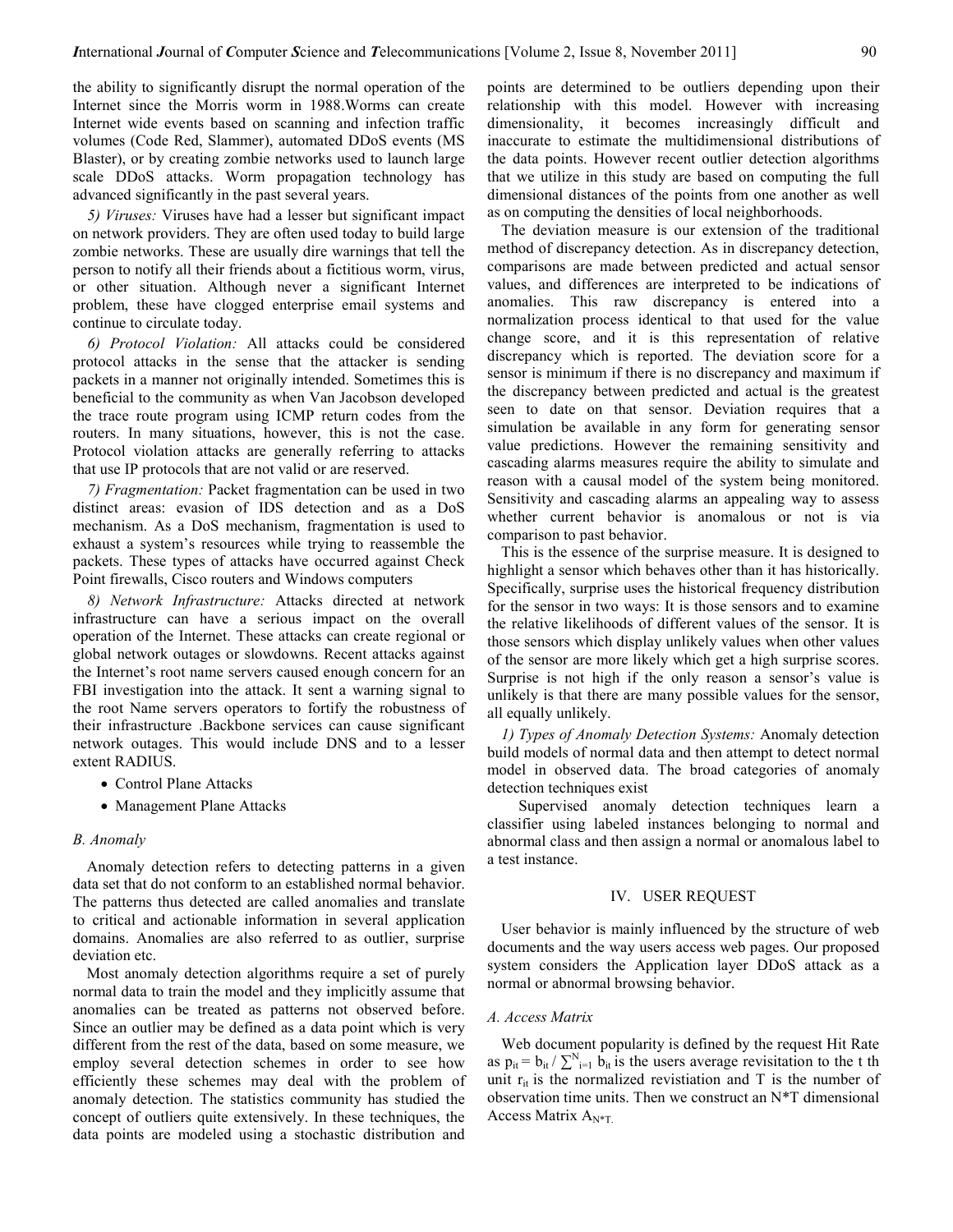the ability to significantly disrupt the normal operation of the Internet since the Morris worm in 1988.Worms can create Internet wide events based on scanning and infection traffic volumes (Code Red, Slammer), automated DDoS events (MS Blaster), or by creating zombie networks used to launch large scale DDoS attacks. Worm propagation technology has advanced significantly in the past several years.

5) Viruses: Viruses have had a lesser but significant impact on network providers. They are often used today to build large zombie networks. These are usually dire warnings that tell the person to notify all their friends about a fictitious worm, virus, or other situation. Although never a significant Internet problem, these have clogged enterprise email systems and continue to circulate today.

6) Protocol Violation: All attacks could be considered protocol attacks in the sense that the attacker is sending packets in a manner not originally intended. Sometimes this is beneficial to the community as when Van Jacobson developed the trace route program using ICMP return codes from the routers. In many situations, however, this is not the case. Protocol violation attacks are generally referring to attacks that use IP protocols that are not valid or are reserved.

7) Fragmentation: Packet fragmentation can be used in two distinct areas: evasion of IDS detection and as a DoS mechanism. As a DoS mechanism, fragmentation is used to exhaust a system's resources while trying to reassemble the packets. These types of attacks have occurred against Check Point firewalls, Cisco routers and Windows computers

8) Network Infrastructure: Attacks directed at network infrastructure can have a serious impact on the overall operation of the Internet. These attacks can create regional or global network outages or slowdowns. Recent attacks against the Internet's root name servers caused enough concern for an FBI investigation into the attack. It sent a warning signal to the root Name servers operators to fortify the robustness of their infrastructure .Backbone services can cause significant network outages. This would include DNS and to a lesser extent RADIUS.

- Control Plane Attacks
- Management Plane Attacks

#### B. Anomaly

Anomaly detection refers to detecting patterns in a given data set that do not conform to an established normal behavior. The patterns thus detected are called anomalies and translate to critical and actionable information in several application domains. Anomalies are also referred to as outlier, surprise deviation etc.

Most anomaly detection algorithms require a set of purely normal data to train the model and they implicitly assume that anomalies can be treated as patterns not observed before. Since an outlier may be defined as a data point which is very different from the rest of the data, based on some measure, we employ several detection schemes in order to see how efficiently these schemes may deal with the problem of anomaly detection. The statistics community has studied the concept of outliers quite extensively. In these techniques, the data points are modeled using a stochastic distribution and

points are determined to be outliers depending upon their relationship with this model. However with increasing dimensionality, it becomes increasingly difficult and inaccurate to estimate the multidimensional distributions of the data points. However recent outlier detection algorithms that we utilize in this study are based on computing the full dimensional distances of the points from one another as well as on computing the densities of local neighborhoods.

The deviation measure is our extension of the traditional method of discrepancy detection. As in discrepancy detection, comparisons are made between predicted and actual sensor values, and differences are interpreted to be indications of anomalies. This raw discrepancy is entered into a normalization process identical to that used for the value change score, and it is this representation of relative discrepancy which is reported. The deviation score for a sensor is minimum if there is no discrepancy and maximum if the discrepancy between predicted and actual is the greatest seen to date on that sensor. Deviation requires that a simulation be available in any form for generating sensor value predictions. However the remaining sensitivity and cascading alarms measures require the ability to simulate and reason with a causal model of the system being monitored. Sensitivity and cascading alarms an appealing way to assess whether current behavior is anomalous or not is via comparison to past behavior.

This is the essence of the surprise measure. It is designed to highlight a sensor which behaves other than it has historically. Specifically, surprise uses the historical frequency distribution for the sensor in two ways: It is those sensors and to examine the relative likelihoods of different values of the sensor. It is those sensors which display unlikely values when other values of the sensor are more likely which get a high surprise scores. Surprise is not high if the only reason a sensor's value is unlikely is that there are many possible values for the sensor, all equally unlikely.

1) Types of Anomaly Detection Systems: Anomaly detection build models of normal data and then attempt to detect normal model in observed data. The broad categories of anomaly detection techniques exist

 Supervised anomaly detection techniques learn a classifier using labeled instances belonging to normal and abnormal class and then assign a normal or anomalous label to a test instance.

#### IV. USER REQUEST

User behavior is mainly influenced by the structure of web documents and the way users access web pages. Our proposed system considers the Application layer DDoS attack as a normal or abnormal browsing behavior.

#### A. Access Matrix

Web document popularity is defined by the request Hit Rate as  $p_{it} = b_{it} / \sum_{i=1}^{N} b_{it}$  is the users average revisitation to the t th unit  $r_{it}$  is the normalized revistiation and T is the number of observation time units. Then we construct an N\*T dimensional Access Matrix  $A_{N^*T}$ .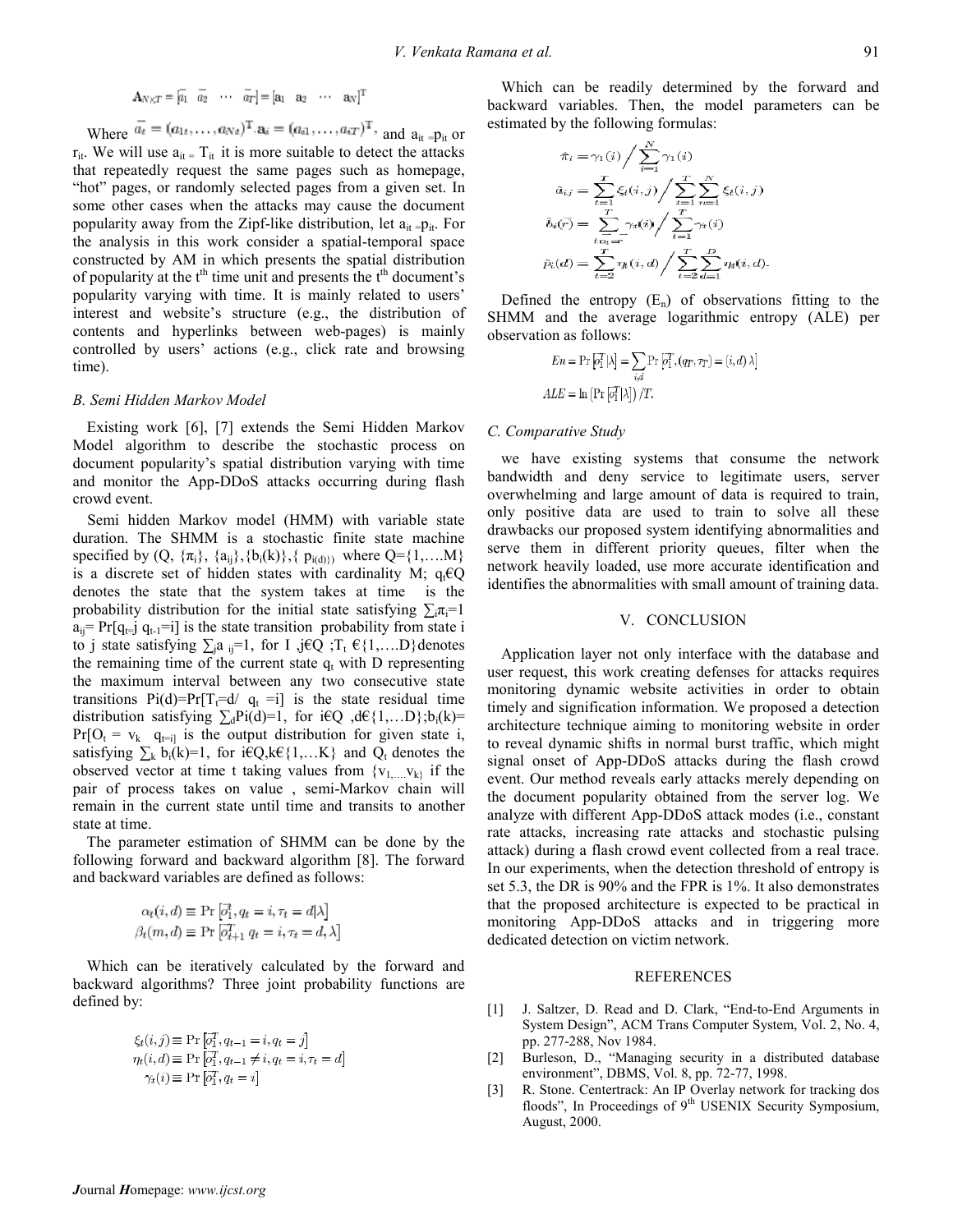$$
\mathbf{A}_{N \times T} = \begin{bmatrix} \overline{a_1} & \overline{a_2} & \cdots & \overline{a_T} \end{bmatrix} = \begin{bmatrix} \mathbf{a}_1 & \mathbf{a}_2 & \cdots & \mathbf{a}_N \end{bmatrix}^\mathrm{T}
$$

Where  $\overline{a_t} = (a_{1t}, \dots, a_{Nt})^T$ ,  $\mathbf{a}_i = (a_{i1}, \dots, a_{iT})^T$ , and  $a_{it} = p_{it}$  or  $r_{it}$ . We will use  $a_{it} = T_{it}$  it is more suitable to detect the attacks that repeatedly request the same pages such as homepage, "hot" pages, or randomly selected pages from a given set. In some other cases when the attacks may cause the document popularity away from the Zipf-like distribution, let  $a_{it} = p_{it}$ . For the analysis in this work consider a spatial-temporal space constructed by AM in which presents the spatial distribution of popularity at the  $t<sup>th</sup>$  time unit and presents the  $t<sup>th</sup>$  document's popularity varying with time. It is mainly related to users' interest and website's structure (e.g., the distribution of contents and hyperlinks between web-pages) is mainly controlled by users' actions (e.g., click rate and browsing time).

#### B. Semi Hidden Markov Model

Existing work [6], [7] extends the Semi Hidden Markov Model algorithm to describe the stochastic process on document popularity's spatial distribution varying with time and monitor the App-DDoS attacks occurring during flash crowd event.

Semi hidden Markov model (HMM) with variable state duration. The SHMM is a stochastic finite state machine specified by  $(Q, \{\pi_i\}, \{a_{ij}\}, \{b_i(k)\}, \{p_{i(d)}\})$  where  $Q = \{1, \dots, M\}$ is a discrete set of hidden states with cardinality M;  $q_t \in Q$ denotes the state that the system takes at time is the probability distribution for the initial state satisfying  $\sum_i \pi_i = 1$  $a_{ii}$ = Pr[q<sub>t=</sub>j q<sub>t-1</sub>=i] is the state transition probability from state i to j state satisfying  $\sum_{i} a_{ij} = 1$ , for I ,j $\in Q$  ;  $T_t \in \{1,...,D\}$  denotes the remaining time of the current state  $q_t$  with D representing the maximum interval between any two consecutive state transitions  $Pi(d)=Pr[T_t=d/q_t = i]$  is the state residual time distribution satisfying  $\sum_{d}Pi(d)=1$ , for i€Q ,d€{1,...D};b<sub>i</sub>(k)=  $Pr[O_t = v_k \ q_{t=i}$  is the output distribution for given state i, satisfying  $\sum_k b_i(k)=1$ , for i $\in Q, k \in \{1,...K\}$  and  $Q_t$  denotes the observed vector at time t taking values from  ${v_1, \ldots, v_k}$  if the pair of process takes on value , semi-Markov chain will remain in the current state until time and transits to another state at time.

The parameter estimation of SHMM can be done by the following forward and backward algorithm [8]. The forward and backward variables are defined as follows:

$$
\alpha_t(i,d) \equiv \Pr\left[\overline{o}_1^t, q_t = i, \tau_t = d|\lambda\right]
$$

$$
\beta_t(m,d) \equiv \Pr\left[\overline{o}_{t+1}^t q_t = i, \tau_t = d, \lambda\right]
$$

Which can be iteratively calculated by the forward and backward algorithms? Three joint probability functions are defined by:

$$
\xi_t(i,j) \equiv \Pr\left[\overline{o_1^T}, q_{t-1} = i, q_t = j\right]
$$
  
\n
$$
\eta_t(i,d) \equiv \Pr\left[\overline{o_1^T}, q_{t-1} \neq i, q_t = i, \tau_t = d\right]
$$
  
\n
$$
\gamma_t(i) \equiv \Pr\left[\overline{o_1^T}, q_t = i\right]
$$

Which can be readily determined by the forward and backward variables. Then, the model parameters can be estimated by the following formulas:

$$
\hat{\pi}_i = \gamma_1(i) \Big/ \sum_{i=1}^N \gamma_1(i)
$$

$$
\hat{a}_{ij} = \sum_{t=1}^T \xi_t(i,j) \Big/ \sum_{t=1}^T \sum_{n=1}^N \xi_t(i,j)
$$

$$
\hat{b}_i(\vec{r}) = \sum_{t\leq \vec{i}=\vec{r}}^T \gamma_t(i) \Big/ \sum_{t=1}^T \gamma_t(i)
$$

$$
\hat{p}_i(d) = \sum_{t=2}^T \eta_t(i,d) \Big/ \sum_{t=2}^T \sum_{d=1}^D \eta_t(i,d).
$$

Defined the entropy  $(E_n)$  of observations fitting to the SHMM and the average logarithmic entropy (ALE) per observation as follows:

$$
En = \Pr\left[\overrightarrow{o_1^T}|\lambda\right] = \sum_{i,d} \Pr\left[\overrightarrow{o_1^T}, (q_T, \tau_T) = (i,d) \lambda\right]
$$
  

$$
ALE = \ln\left(\Pr\left[\overrightarrow{o_1^T}|\lambda\right]\right) / T.
$$

#### C. Comparative Study

we have existing systems that consume the network bandwidth and deny service to legitimate users, server overwhelming and large amount of data is required to train, only positive data are used to train to solve all these drawbacks our proposed system identifying abnormalities and serve them in different priority queues, filter when the network heavily loaded, use more accurate identification and identifies the abnormalities with small amount of training data.

#### V. CONCLUSION

Application layer not only interface with the database and user request, this work creating defenses for attacks requires monitoring dynamic website activities in order to obtain timely and signification information. We proposed a detection architecture technique aiming to monitoring website in order to reveal dynamic shifts in normal burst traffic, which might signal onset of App-DDoS attacks during the flash crowd event. Our method reveals early attacks merely depending on the document popularity obtained from the server log. We analyze with different App-DDoS attack modes (i.e., constant rate attacks, increasing rate attacks and stochastic pulsing attack) during a flash crowd event collected from a real trace. In our experiments, when the detection threshold of entropy is set 5.3, the DR is 90% and the FPR is 1%. It also demonstrates that the proposed architecture is expected to be practical in monitoring App-DDoS attacks and in triggering more dedicated detection on victim network.

#### REFERENCES

- [1] J. Saltzer, D. Read and D. Clark, "End-to-End Arguments in System Design", ACM Trans Computer System, Vol. 2, No. 4, pp. 277-288, Nov 1984.
- [2] Burleson, D., "Managing security in a distributed database environment", DBMS, Vol. 8, pp. 72-77, 1998.
- [3] R. Stone. Centertrack: An IP Overlay network for tracking dos floods", In Proceedings of 9<sup>th</sup> USENIX Security Symposium, August, 2000.